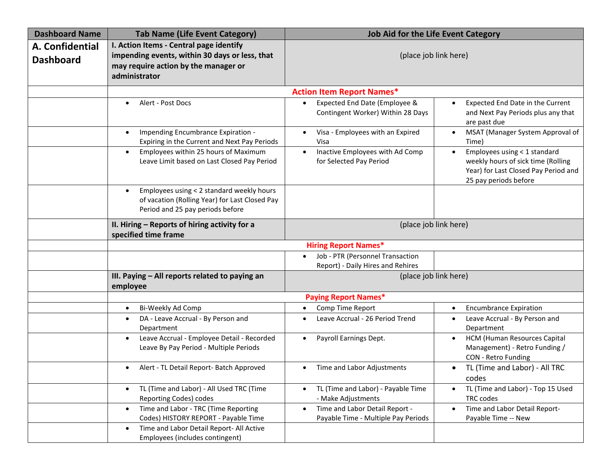| <b>Dashboard Name</b>               | <b>Tab Name (Life Event Category)</b>                                                                                                              | <b>Job Aid for the Life Event Category</b>                                         |                                                                                                                                     |  |
|-------------------------------------|----------------------------------------------------------------------------------------------------------------------------------------------------|------------------------------------------------------------------------------------|-------------------------------------------------------------------------------------------------------------------------------------|--|
| A. Confidential<br><b>Dashboard</b> | I. Action Items - Central page identify<br>impending events, within 30 days or less, that<br>may require action by the manager or<br>administrator | (place job link here)                                                              |                                                                                                                                     |  |
|                                     |                                                                                                                                                    | <b>Action Item Report Names*</b>                                                   |                                                                                                                                     |  |
|                                     | Alert - Post Docs<br>$\bullet$                                                                                                                     | Expected End Date (Employee &<br>Contingent Worker) Within 28 Days                 | Expected End Date in the Current<br>and Next Pay Periods plus any that<br>are past due                                              |  |
|                                     | Impending Encumbrance Expiration -<br>$\bullet$<br>Expiring in the Current and Next Pay Periods                                                    | Visa - Employees with an Expired<br>Visa                                           | MSAT (Manager System Approval of<br>Time)                                                                                           |  |
|                                     | Employees within 25 hours of Maximum<br>$\bullet$<br>Leave Limit based on Last Closed Pay Period                                                   | Inactive Employees with Ad Comp<br>for Selected Pay Period                         | Employees using < 1 standard<br>weekly hours of sick time (Rolling<br>Year) for Last Closed Pay Period and<br>25 pay periods before |  |
|                                     | Employees using < 2 standard weekly hours<br>$\bullet$<br>of vacation (Rolling Year) for Last Closed Pay<br>Period and 25 pay periods before       |                                                                                    |                                                                                                                                     |  |
|                                     | II. Hiring - Reports of hiring activity for a<br>specified time frame                                                                              | (place job link here)                                                              |                                                                                                                                     |  |
|                                     |                                                                                                                                                    | <b>Hiring Report Names*</b>                                                        |                                                                                                                                     |  |
|                                     |                                                                                                                                                    | Job - PTR (Personnel Transaction<br>Report) - Daily Hires and Rehires              |                                                                                                                                     |  |
|                                     | III. Paying - All reports related to paying an<br>employee                                                                                         | (place job link here)<br><b>Paying Report Names*</b>                               |                                                                                                                                     |  |
|                                     |                                                                                                                                                    |                                                                                    |                                                                                                                                     |  |
|                                     | Bi-Weekly Ad Comp<br>$\bullet$                                                                                                                     | Comp Time Report<br>$\bullet$                                                      | <b>Encumbrance Expiration</b><br>$\bullet$                                                                                          |  |
|                                     | DA - Leave Accrual - By Person and<br>$\bullet$<br>Department                                                                                      | Leave Accrual - 26 Period Trend                                                    | Leave Accrual - By Person and<br>Department                                                                                         |  |
|                                     | Leave Accrual - Employee Detail - Recorded<br>$\bullet$<br>Leave By Pay Period - Multiple Periods                                                  | Payroll Earnings Dept.<br>$\bullet$                                                | HCM (Human Resources Capital<br>Management) - Retro Funding /<br>CON - Retro Funding                                                |  |
|                                     | Alert - TL Detail Report- Batch Approved<br>$\bullet$                                                                                              | Time and Labor Adjustments<br>$\bullet$                                            | TL (Time and Labor) - All TRC<br>$\bullet$<br>codes                                                                                 |  |
|                                     | TL (Time and Labor) - All Used TRC (Time<br>$\bullet$<br>Reporting Codes) codes                                                                    | TL (Time and Labor) - Payable Time<br>- Make Adjustments                           | TL (Time and Labor) - Top 15 Used<br>TRC codes                                                                                      |  |
|                                     | Time and Labor - TRC (Time Reporting<br>$\bullet$<br>Codes) HISTORY REPORT - Payable Time                                                          | Time and Labor Detail Report -<br>$\bullet$<br>Payable Time - Multiple Pay Periods | Time and Labor Detail Report-<br>$\bullet$<br>Payable Time -- New                                                                   |  |
|                                     | Time and Labor Detail Report- All Active<br>$\bullet$<br>Employees (includes contingent)                                                           |                                                                                    |                                                                                                                                     |  |